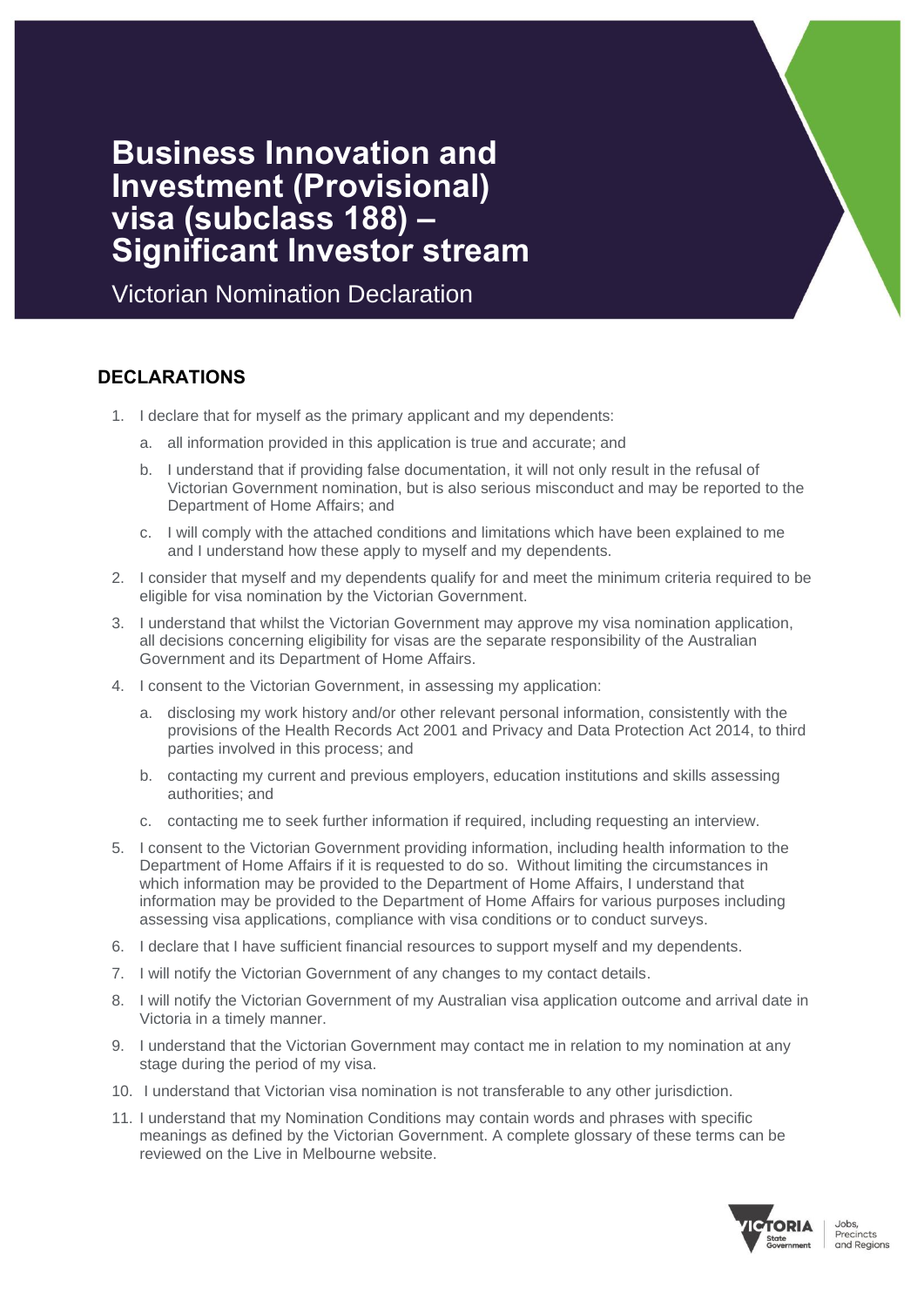# **Business Innovation and Investment (Provisional) visa (subclass 188) – Significant Investor stream**

Victorian Nomination Declaration

## **DECLARATIONS**

- 1. I declare that for myself as the primary applicant and my dependents:
	- a. all information provided in this application is true and accurate; and
	- b. I understand that if providing false documentation, it will not only result in the refusal of Victorian Government nomination, but is also serious misconduct and may be reported to the Department of Home Affairs; and
	- c. I will comply with the attached conditions and limitations which have been explained to me and I understand how these apply to myself and my dependents.
- 2. I consider that myself and my dependents qualify for and meet the minimum criteria required to be eligible for visa nomination by the Victorian Government.
- 3. I understand that whilst the Victorian Government may approve my visa nomination application, all decisions concerning eligibility for visas are the separate responsibility of the Australian Government and its Department of Home Affairs.
- 4. I consent to the Victorian Government, in assessing my application:
	- a. disclosing my work history and/or other relevant personal information, consistently with the provisions of the Health Records Act 2001 and Privacy and Data Protection Act 2014, to third parties involved in this process; and
	- b. contacting my current and previous employers, education institutions and skills assessing authorities; and
	- c. contacting me to seek further information if required, including requesting an interview.
- 5. I consent to the Victorian Government providing information, including health information to the Department of Home Affairs if it is requested to do so. Without limiting the circumstances in which information may be provided to the Department of Home Affairs, I understand that information may be provided to the Department of Home Affairs for various purposes including assessing visa applications, compliance with visa conditions or to conduct surveys.
- 6. I declare that I have sufficient financial resources to support myself and my dependents.
- 7. I will notify the Victorian Government of any changes to my contact details.
- 8. I will notify the Victorian Government of my Australian visa application outcome and arrival date in Victoria in a timely manner.
- 9. I understand that the Victorian Government may contact me in relation to my nomination at any stage during the period of my visa.
- 10. I understand that Victorian visa nomination is not transferable to any other jurisdiction.
- 11. I understand that my Nomination Conditions may contain words and phrases with specific meanings as defined by the Victorian Government. A complete glossary of these terms can be reviewed on the Live in Melbourne website.